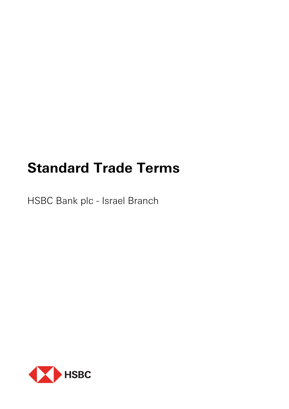# **Standard Trade Terms**

HSBC Bank plc - Israel Branch

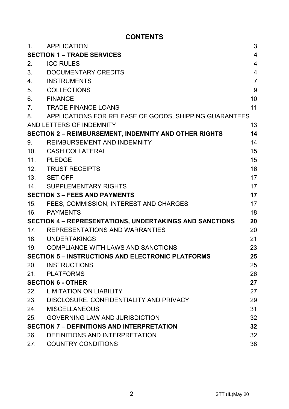# **CONTENTS**

| 1.                                                      | <b>APPLICATION</b>                                       | 3                       |
|---------------------------------------------------------|----------------------------------------------------------|-------------------------|
|                                                         | <b>SECTION 1 – TRADE SERVICES</b>                        | $\overline{\mathbf{4}}$ |
| 2.                                                      | <b>ICC RULES</b>                                         | 4                       |
| 3.                                                      | DOCUMENTARY CREDITS                                      | 4                       |
| 4 <sub>1</sub>                                          | INSTRUMENTS                                              | $\overline{7}$          |
| 5.                                                      | COLLECTIONS                                              | 9                       |
| 6.                                                      | <b>FINANCE</b>                                           | 10                      |
| $7_{-}$                                                 | <b>TRADE FINANCE LOANS</b>                               | 11                      |
| 8.                                                      | APPLICATIONS FOR RELEASE OF GOODS, SHIPPING GUARANTEES   |                         |
|                                                         | AND LETTERS OF INDEMNITY                                 | 13                      |
|                                                         | SECTION 2 - REIMBURSEMENT, INDEMNITY AND OTHER RIGHTS    | 14                      |
| 9.                                                      | REIMBURSEMENT AND INDEMNITY                              | 14                      |
| 10.                                                     | CASH COLLATERAL                                          | 15                      |
| 11.                                                     | PLEDGE                                                   | 15                      |
|                                                         | 12. TRUST RECEIPTS                                       | 16                      |
|                                                         | 13. SET-OFF                                              | 17                      |
| 14.                                                     | SUPPLEMENTARY RIGHTS                                     | 17                      |
| <b>SECTION 3 – FEES AND PAYMENTS</b>                    |                                                          | 17                      |
| 15.                                                     | FEES, COMMISSION, INTEREST AND CHARGES                   | 17                      |
|                                                         | 16. PAYMENTS                                             | 18                      |
| SECTION 4 - REPRESENTATIONS, UNDERTAKINGS AND SANCTIONS |                                                          | 20                      |
| 17.                                                     | REPRESENTATIONS AND WARRANTIES                           | 20                      |
|                                                         | 18. UNDERTAKINGS                                         | 21                      |
|                                                         | 19. COMPLIANCE WITH LAWS AND SANCTIONS                   | 23                      |
|                                                         | <b>SECTION 5 - INSTRUCTIONS AND ELECTRONIC PLATFORMS</b> | 25                      |
| 20.                                                     | <b>INSTRUCTIONS</b>                                      | 25                      |
|                                                         | 21. PLATFORMS                                            | 26                      |
|                                                         | <b>SECTION 6 - OTHER</b>                                 | 27                      |
| 22.                                                     | <b>LIMITATION ON LIABILITY</b>                           | 27                      |
|                                                         | 23. DISCLOSURE, CONFIDENTIALITY AND PRIVACY              | 29                      |
| 24.                                                     | MISCELLANEOUS                                            | 31                      |
| 25.                                                     | <b>GOVERNING LAW AND JURISDICTION</b>                    | 32                      |
|                                                         | <b>SECTION 7 - DEFINITIONS AND INTERPRETATION</b>        | 32                      |
| 26.                                                     | DEFINITIONS AND INTERPRETATION                           | 32                      |
| 27.                                                     | <b>COUNTRY CONDITIONS</b>                                | 38                      |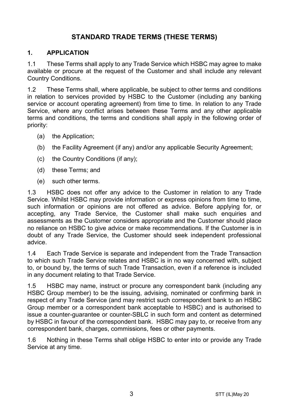# **STANDARD TRADE TERMS (THESE TERMS)**

#### **1. APPLICATION**

1.1 These Terms shall apply to any Trade Service which HSBC may agree to make available or procure at the request of the Customer and shall include any relevant Country Conditions.

1.2 These Terms shall, where applicable, be subject to other terms and conditions in relation to services provided by HSBC to the Customer (including any banking service or account operating agreement) from time to time. In relation to any Trade Service, where any conflict arises between these Terms and any other applicable terms and conditions, the terms and conditions shall apply in the following order of priority:

- (a) the Application;
- (b) the Facility Agreement (if any) and/or any applicable Security Agreement;
- (c) the Country Conditions (if any);
- (d) these Terms; and
- (e) such other terms.

1.3 HSBC does not offer any advice to the Customer in relation to any Trade Service. Whilst HSBC may provide information or express opinions from time to time, such information or opinions are not offered as advice. Before applying for, or accepting, any Trade Service, the Customer shall make such enquiries and assessments as the Customer considers appropriate and the Customer should place no reliance on HSBC to give advice or make recommendations. If the Customer is in doubt of any Trade Service, the Customer should seek independent professional advice.

1.4 Each Trade Service is separate and independent from the Trade Transaction to which such Trade Service relates and HSBC is in no way concerned with, subject to, or bound by, the terms of such Trade Transaction, even if a reference is included in any document relating to that Trade Service.

1.5 HSBC may name, instruct or procure any correspondent bank (including any HSBC Group member) to be the issuing, advising, nominated or confirming bank in respect of any Trade Service (and may restrict such correspondent bank to an HSBC Group member or a correspondent bank acceptable to HSBC) and is authorised to issue a counter-guarantee or counter-SBLC in such form and content as determined by HSBC in favour of the correspondent bank. HSBC may pay to, or receive from any correspondent bank, charges, commissions, fees or other payments.

1.6 Nothing in these Terms shall oblige HSBC to enter into or provide any Trade Service at any time.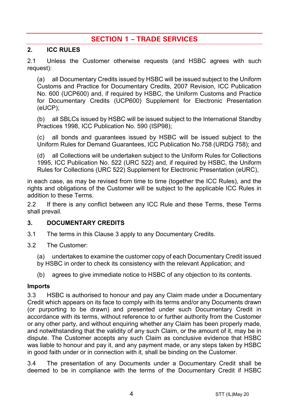# **SECTION 1 – TRADE SERVICES**

#### **2. ICC RULES**

2.1 Unless the Customer otherwise requests (and HSBC agrees with such request):

(a) all Documentary Credits issued by HSBC will be issued subject to the Uniform Customs and Practice for Documentary Credits, 2007 Revision, ICC Publication No. 600 (UCP600) and, if required by HSBC, the Uniform Customs and Practice for Documentary Credits (UCP600) Supplement for Electronic Presentation (eUCP);

(b) all SBLCs issued by HSBC will be issued subject to the International Standby Practices 1998, ICC Publication No. 590 (ISP98);

(c) all bonds and guarantees issued by HSBC will be issued subject to the Uniform Rules for Demand Guarantees, ICC Publication No.758 (URDG 758); and

(d) all Collections will be undertaken subject to the Uniform Rules for Collections 1995, ICC Publication No. 522 (URC 522) and, if required by HSBC, the Uniform Rules for Collections (URC 522) Supplement for Electronic Presentation (eURC),

in each case, as may be revised from time to time (together the ICC Rules), and the rights and obligations of the Customer will be subject to the applicable ICC Rules in addition to these Terms.

2.2 If there is any conflict between any ICC Rule and these Terms, these Terms shall prevail.

#### **3. DOCUMENTARY CREDITS**

- 3.1 The terms in this Clause 3 apply to any Documentary Credits.
- 3.2 The Customer:
	- (a) undertakes to examine the customer copy of each Documentary Credit issued
	- by HSBC in order to check its consistency with the relevant Application; and
	- (b) agrees to give immediate notice to HSBC of any objection to its contents.

#### **Imports**

3.3 HSBC is authorised to honour and pay any Claim made under a Documentary Credit which appears on its face to comply with its terms and/or any Documents drawn (or purporting to be drawn) and presented under such Documentary Credit in accordance with its terms, without reference to or further authority from the Customer or any other party, and without enquiring whether any Claim has been properly made, and notwithstanding that the validity of any such Claim, or the amount of it, may be in dispute. The Customer accepts any such Claim as conclusive evidence that HSBC was liable to honour and pay it, and any payment made, or any steps taken by HSBC in good faith under or in connection with it, shall be binding on the Customer.

3.4 The presentation of any Documents under a Documentary Credit shall be deemed to be in compliance with the terms of the Documentary Credit if HSBC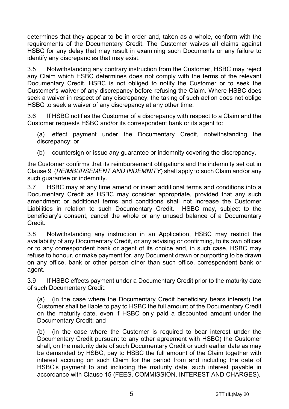determines that they appear to be in order and, taken as a whole, conform with the requirements of the Documentary Credit. The Customer waives all claims against HSBC for any delay that may result in examining such Documents or any failure to identify any discrepancies that may exist.

3.5 Notwithstanding any contrary instruction from the Customer, HSBC may reject any Claim which HSBC determines does not comply with the terms of the relevant Documentary Credit. HSBC is not obliged to notify the Customer or to seek the Customer's waiver of any discrepancy before refusing the Claim. Where HSBC does seek a waiver in respect of any discrepancy, the taking of such action does not oblige HSBC to seek a waiver of any discrepancy at any other time.

3.6 If HSBC notifies the Customer of a discrepancy with respect to a Claim and the Customer requests HSBC and/or its correspondent bank or its agent to:

(a) effect payment under the Documentary Credit, notwithstanding the discrepancy; or

(b) countersign or issue any guarantee or indemnity covering the discrepancy,

the Customer confirms that its reimbursement obligations and the indemnity set out in Clause 9 (*REIMBURSEMENT AND INDEMNITY*) shall apply to such Claim and/or any such guarantee or indemnity.

3.7 HSBC may at any time amend or insert additional terms and conditions into a Documentary Credit as HSBC may consider appropriate, provided that any such amendment or additional terms and conditions shall not increase the Customer Liabilities in relation to such Documentary Credit. HSBC may, subject to the beneficiary's consent, cancel the whole or any unused balance of a Documentary Credit.

3.8 Notwithstanding any instruction in an Application, HSBC may restrict the availability of any Documentary Credit, or any advising or confirming, to its own offices or to any correspondent bank or agent of its choice and, in such case, HSBC may refuse to honour, or make payment for, any Document drawn or purporting to be drawn on any office, bank or other person other than such office, correspondent bank or agent.

3.9 If HSBC effects payment under a Documentary Credit prior to the maturity date of such Documentary Credit:

(a) (in the case where the Documentary Credit beneficiary bears interest) the Customer shall be liable to pay to HSBC the full amount of the Documentary Credit on the maturity date, even if HSBC only paid a discounted amount under the Documentary Credit; and

(b) (in the case where the Customer is required to bear interest under the Documentary Credit pursuant to any other agreement with HSBC) the Customer shall, on the maturity date of such Documentary Credit or such earlier date as may be demanded by HSBC, pay to HSBC the full amount of the Claim together with interest accruing on such Claim for the period from and including the date of HSBC's payment to and including the maturity date, such interest payable in accordance with Clause 15 (FEES, COMMISSION, INTEREST AND CHARGES).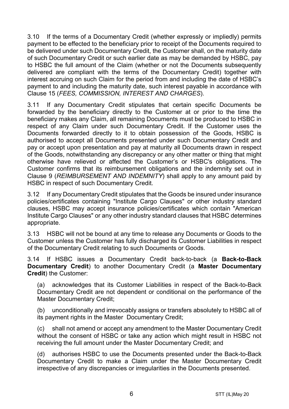3.10 If the terms of a Documentary Credit (whether expressly or impliedly) permits payment to be effected to the beneficiary prior to receipt of the Documents required to be delivered under such Documentary Credit, the Customer shall, on the maturity date of such Documentary Credit or such earlier date as may be demanded by HSBC, pay to HSBC the full amount of the Claim (whether or not the Documents subsequently delivered are compliant with the terms of the Documentary Credit) together with interest accruing on such Claim for the period from and including the date of HSBC's payment to and including the maturity date, such interest payable in accordance with Clause 15 (*FEES, COMMISSION, INTEREST AND CHARGES*).

3.11 If any Documentary Credit stipulates that certain specific Documents be forwarded by the beneficiary directly to the Customer at or prior to the time the beneficiary makes any Claim, all remaining Documents must be produced to HSBC in respect of any Claim under such Documentary Credit. If the Customer uses the Documents forwarded directly to it to obtain possession of the Goods, HSBC is authorised to accept all Documents presented under such Documentary Credit and pay or accept upon presentation and pay at maturity all Documents drawn in respect of the Goods, notwithstanding any discrepancy or any other matter or thing that might otherwise have relieved or affected the Customer's or HSBC's obligations. The Customer confirms that its reimbursement obligations and the indemnity set out in Clause 9 (*REIMBURSEMENT AND INDEMNITY*) shall apply to any amount paid by HSBC in respect of such Documentary Credit.

3.12 If any Documentary Credit stipulates that the Goods be insured under insurance policies/certificates containing "Institute Cargo Clauses" or other industry standard clauses, HSBC may accept insurance policies/certificates which contain "American Institute Cargo Clauses" or any other industry standard clauses that HSBC determines appropriate.

3.13 HSBC will not be bound at any time to release any Documents or Goods to the Customer unless the Customer has fully discharged its Customer Liabilities in respect of the Documentary Credit relating to such Documents or Goods.

3.14 If HSBC issues a Documentary Credit back-to-back (a **Back-to-Back Documentary Credit**) to another Documentary Credit (a **Master Documentary Credit**) the Customer:

(a) acknowledges that its Customer Liabilities in respect of the Back-to-Back Documentary Credit are not dependent or conditional on the performance of the Master Documentary Credit;

(b) unconditionally and irrevocably assigns or transfers absolutely to HSBC all of its payment rights in the Master Documentary Credit;

(c) shall not amend or accept any amendment to the Master Documentary Credit without the consent of HSBC or take any action which might result in HSBC not receiving the full amount under the Master Documentary Credit; and

(d) authorises HSBC to use the Documents presented under the Back-to-Back Documentary Credit to make a Claim under the Master Documentary Credit irrespective of any discrepancies or irregularities in the Documents presented.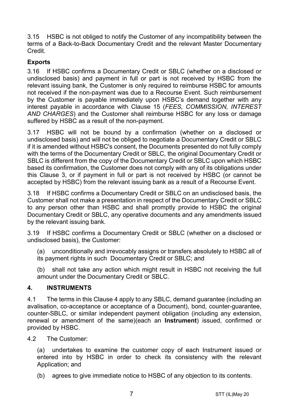3.15 HSBC is not obliged to notify the Customer of any incompatibility between the terms of a Back-to-Back Documentary Credit and the relevant Master Documentary Credit.

# **Exports**

3.16 If HSBC confirms a Documentary Credit or SBLC (whether on a disclosed or undisclosed basis) and payment in full or part is not received by HSBC from the relevant issuing bank, the Customer is only required to reimburse HSBC for amounts not received if the non-payment was due to a Recourse Event. Such reimbursement by the Customer is payable immediately upon HSBC's demand together with any interest payable in accordance with Clause 15 (*FEES, COMMISSION, INTEREST AND CHARGES*) and the Customer shall reimburse HSBC for any loss or damage suffered by HSBC as a result of the non-payment.

3.17 HSBC will not be bound by a confirmation (whether on a disclosed or undisclosed basis) and will not be obliged to negotiate a Documentary Credit or SBLC if it is amended without HSBC's consent, the Documents presented do not fully comply with the terms of the Documentary Credit or SBLC, the original Documentary Credit or SBLC is different from the copy of the Documentary Credit or SBLC upon which HSBC based its confirmation, the Customer does not comply with any of its obligations under this Clause 3, or if payment in full or part is not received by HSBC (or cannot be accepted by HSBC) from the relevant issuing bank as a result of a Recourse Event.

3.18 If HSBC confirms a Documentary Credit or SBLC on an undisclosed basis, the Customer shall not make a presentation in respect of the Documentary Credit or SBLC to any person other than HSBC and shall promptly provide to HSBC the original Documentary Credit or SBLC, any operative documents and any amendments issued by the relevant issuing bank.

3.19 If HSBC confirms a Documentary Credit or SBLC (whether on a disclosed or undisclosed basis), the Customer:

(a) unconditionally and irrevocably assigns or transfers absolutely to HSBC all of its payment rights in such Documentary Credit or SBLC; and

(b) shall not take any action which might result in HSBC not receiving the full amount under the Documentary Credit or SBLC.

## **4. INSTRUMENTS**

4.1 The terms in this Clause 4 apply to any SBLC, demand guarantee (including an avalisation, co-acceptance or acceptance of a Document), bond, counter-guarantee, counter-SBLC, or similar independent payment obligation (including any extension, renewal or amendment of the same)(each an **Instrument**) issued, confirmed or provided by HSBC.

4.2 The Customer:

(a) undertakes to examine the customer copy of each Instrument issued or entered into by HSBC in order to check its consistency with the relevant Application; and

(b) agrees to give immediate notice to HSBC of any objection to its contents.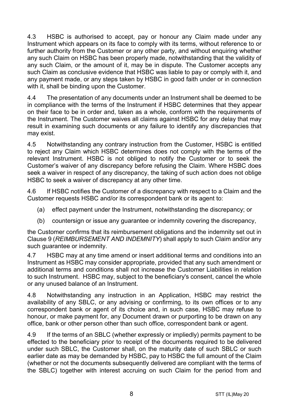4.3 HSBC is authorised to accept, pay or honour any Claim made under any Instrument which appears on its face to comply with its terms, without reference to or further authority from the Customer or any other party, and without enquiring whether any such Claim on HSBC has been properly made, notwithstanding that the validity of any such Claim, or the amount of it, may be in dispute. The Customer accepts any such Claim as conclusive evidence that HSBC was liable to pay or comply with it, and any payment made, or any steps taken by HSBC in good faith under or in connection with it, shall be binding upon the Customer.

4.4 The presentation of any documents under an Instrument shall be deemed to be in compliance with the terms of the Instrument if HSBC determines that they appear on their face to be in order and, taken as a whole, conform with the requirements of the Instrument. The Customer waives all claims against HSBC for any delay that may result in examining such documents or any failure to identify any discrepancies that may exist.

4.5 Notwithstanding any contrary instruction from the Customer, HSBC is entitled to reject any Claim which HSBC determines does not comply with the terms of the relevant Instrument. HSBC is not obliged to notify the Customer or to seek the Customer's waiver of any discrepancy before refusing the Claim. Where HSBC does seek a waiver in respect of any discrepancy, the taking of such action does not oblige HSBC to seek a waiver of discrepancy at any other time.

4.6 If HSBC notifies the Customer of a discrepancy with respect to a Claim and the Customer requests HSBC and/or its correspondent bank or its agent to:

- (a) effect payment under the Instrument, notwithstanding the discrepancy; or
- (b) countersign or issue any guarantee or indemnity covering the discrepancy,

the Customer confirms that its reimbursement obligations and the indemnity set out in Clause 9 (*REIMBURSEMENT AND INDEMNITY*) shall apply to such Claim and/or any such guarantee or indemnity.

4.7 HSBC may at any time amend or insert additional terms and conditions into an Instrument as HSBC may consider appropriate, provided that any such amendment or additional terms and conditions shall not increase the Customer Liabilities in relation to such Instrument. HSBC may, subject to the beneficiary's consent, cancel the whole or any unused balance of an Instrument.

4.8 Notwithstanding any instruction in an Application, HSBC may restrict the availability of any SBLC, or any advising or confirming, to its own offices or to any correspondent bank or agent of its choice and, in such case, HSBC may refuse to honour, or make payment for, any Document drawn or purporting to be drawn on any office, bank or other person other than such office, correspondent bank or agent.

4.9 If the terms of an SBLC (whether expressly or impliedly) permits payment to be effected to the beneficiary prior to receipt of the documents required to be delivered under such SBLC, the Customer shall, on the maturity date of such SBLC or such earlier date as may be demanded by HSBC, pay to HSBC the full amount of the Claim (whether or not the documents subsequently delivered are compliant with the terms of the SBLC) together with interest accruing on such Claim for the period from and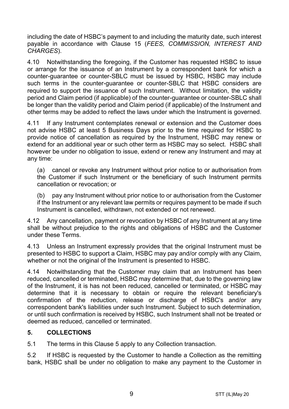including the date of HSBC's payment to and including the maturity date, such interest payable in accordance with Clause 15 (*FEES, COMMISSION, INTEREST AND CHARGES*).

4.10 Notwithstanding the foregoing, if the Customer has requested HSBC to issue or arrange for the issuance of an Instrument by a correspondent bank for which a counter-guarantee or counter-SBLC must be issued by HSBC, HSBC may include such terms in the counter-guarantee or counter-SBLC that HSBC considers are required to support the issuance of such Instrument. Without limitation, the validity period and Claim period (if applicable) of the counter-guarantee or counter-SBLC shall be longer than the validity period and Claim period (if applicable) of the Instrument and other terms may be added to reflect the laws under which the Instrument is governed.

4.11 If any Instrument contemplates renewal or extension and the Customer does not advise HSBC at least 5 Business Days prior to the time required for HSBC to provide notice of cancellation as required by the Instrument, HSBC may renew or extend for an additional year or such other term as HSBC may so select. HSBC shall however be under no obligation to issue, extend or renew any Instrument and may at any time:

(a) cancel or revoke any Instrument without prior notice to or authorisation from the Customer if such Instrument or the beneficiary of such Instrument permits cancellation or revocation; or

(b) pay any Instrument without prior notice to or authorisation from the Customer if the Instrument or any relevant law permits or requires payment to be made if such Instrument is cancelled, withdrawn, not extended or not renewed.

4.12 Any cancellation, payment or revocation by HSBC of any Instrument at any time shall be without prejudice to the rights and obligations of HSBC and the Customer under these Terms.

4.13 Unless an Instrument expressly provides that the original Instrument must be presented to HSBC to support a Claim, HSBC may pay and/or comply with any Claim, whether or not the original of the Instrument is presented to HSBC.

4.14 Notwithstanding that the Customer may claim that an Instrument has been reduced, cancelled or terminated, HSBC may determine that, due to the governing law of the Instrument, it is has not been reduced, cancelled or terminated, or HSBC may determine that it is necessary to obtain or require the relevant beneficiary's confirmation of the reduction, release or discharge of HSBC's and/or any correspondent bank's liabilities under such Instrument. Subject to such determination, or until such confirmation is received by HSBC, such Instrument shall not be treated or deemed as reduced, cancelled or terminated.

## **5. COLLECTIONS**

5.1 The terms in this Clause 5 apply to any Collection transaction.

5.2 If HSBC is requested by the Customer to handle a Collection as the remitting bank, HSBC shall be under no obligation to make any payment to the Customer in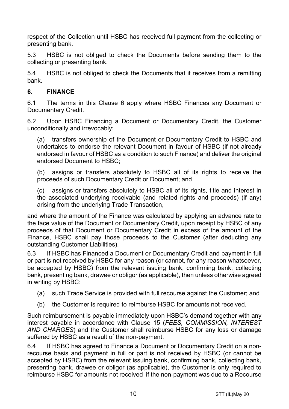respect of the Collection until HSBC has received full payment from the collecting or presenting bank.

5.3 HSBC is not obliged to check the Documents before sending them to the collecting or presenting bank.

5.4 HSBC is not obliged to check the Documents that it receives from a remitting bank.

# **6. FINANCE**

6.1 The terms in this Clause 6 apply where HSBC Finances any Document or Documentary Credit.

6.2 Upon HSBC Financing a Document or Documentary Credit, the Customer unconditionally and irrevocably:

(a) transfers ownership of the Document or Documentary Credit to HSBC and undertakes to endorse the relevant Document in favour of HSBC (if not already endorsed in favour of HSBC as a condition to such Finance) and deliver the original endorsed Document to HSBC;

(b) assigns or transfers absolutely to HSBC all of its rights to receive the proceeds of such Documentary Credit or Document; and

(c) assigns or transfers absolutely to HSBC all of its rights, title and interest in the associated underlying receivable (and related rights and proceeds) (if any) arising from the underlying Trade Transaction,

and where the amount of the Finance was calculated by applying an advance rate to the face value of the Document or Documentary Credit, upon receipt by HSBC of any proceeds of that Document or Documentary Credit in excess of the amount of the Finance, HSBC shall pay those proceeds to the Customer (after deducting any outstanding Customer Liabilities).

6.3 If HSBC has Financed a Document or Documentary Credit and payment in full or part is not received by HSBC for any reason (or cannot, for any reason whatsoever, be accepted by HSBC) from the relevant issuing bank, confirming bank, collecting bank, presenting bank, drawee or obligor (as applicable), then unless otherwise agreed in writing by HSBC:

- (a) such Trade Service is provided with full recourse against the Customer; and
- (b) the Customer is required to reimburse HSBC for amounts not received.

Such reimbursement is payable immediately upon HSBC's demand together with any interest payable in accordance with Clause 15 (*FEES, COMMISSION, INTEREST AND CHARGES*) and the Customer shall reimburse HSBC for any loss or damage suffered by HSBC as a result of the non-payment.

6.4 If HSBC has agreed to Finance a Document or Documentary Credit on a nonrecourse basis and payment in full or part is not received by HSBC (or cannot be accepted by HSBC) from the relevant issuing bank, confirming bank, collecting bank, presenting bank, drawee or obligor (as applicable), the Customer is only required to reimburse HSBC for amounts not received if the non-payment was due to a Recourse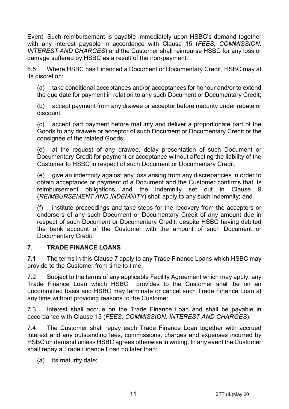Event. Such reimbursement is payable immediately upon HSBC's demand together with any interest payable in accordance with Clause 15 (*FEES, COMMISSION, INTEREST AND CHARGES*) and the Customer shall reimburse HSBC for any loss or damage suffered by HSBC as a result of the non-payment.

6.5 Where HSBC has Financed a Document or Documentary Credit, HSBC may at its discretion:

(a) take conditional acceptances and/or acceptances for honour and/or to extend the due date for payment in relation to any such Document or Documentary Credit;

(b) accept payment from any drawee or acceptor before maturity under rebate or discount;

(c) accept part payment before maturity and deliver a proportionate part of the Goods to any drawee or acceptor of such Document or Documentary Credit or the consignee of the related Goods;

(d) at the request of any drawee, delay presentation of such Document or Documentary Credit for payment or acceptance without affecting the liability of the Customer to HSBC in respect of such Document or Documentary Credit;

(e) give an indemnity against any loss arising from any discrepancies in order to obtain acceptance or payment of a Document and the Customer confirms that its reimbursement obligations and the indemnity set out in Clause 9 (*REIMBURSEMENT AND INDEMNITY*) shall apply to any such indemnity; and

(f) institute proceedings and take steps for the recovery from the acceptors or endorsers of any such Document or Documentary Credit of any amount due in respect of such Document or Documentary Credit, despite HSBC having debited the bank account of the Customer with the amount of such Document or Documentary Credit.

## **7. TRADE FINANCE LOANS**

7.1 The terms in this Clause 7 apply to any Trade Finance Loans which HSBC may provide to the Customer from time to time.

7.2 Subject to the terms of any applicable Facility Agreement which may apply, any Trade Finance Loan which HSBC provides to the Customer shall be on an uncommitted basis and HSBC may terminate or cancel such Trade Finance Loan at any time without providing reasons to the Customer.

7.3 Interest shall accrue on the Trade Finance Loan and shall be payable in accordance with Clause 15 (*FEES, COMMISSION, INTEREST AND CHARGES*).

7.4 The Customer shall repay each Trade Finance Loan together with accrued interest and any outstanding fees, commissions, charges and expenses incurred by HSBC on demand unless HSBC agrees otherwise in writing. In any event the Customer shall repay a Trade Finance Loan no later than:

(a) its maturity date;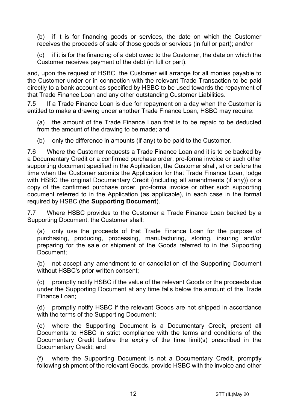(b) if it is for financing goods or services, the date on which the Customer receives the proceeds of sale of those goods or services (in full or part); and/or

(c) if it is for the financing of a debt owed to the Customer, the date on which the Customer receives payment of the debt (in full or part),

and, upon the request of HSBC, the Customer will arrange for all monies payable to the Customer under or in connection with the relevant Trade Transaction to be paid directly to a bank account as specified by HSBC to be used towards the repayment of that Trade Finance Loan and any other outstanding Customer Liabilities.

7.5 If a Trade Finance Loan is due for repayment on a day when the Customer is entitled to make a drawing under another Trade Finance Loan, HSBC may require:

(a) the amount of the Trade Finance Loan that is to be repaid to be deducted from the amount of the drawing to be made; and

(b) only the difference in amounts (if any) to be paid to the Customer.

7.6 Where the Customer requests a Trade Finance Loan and it is to be backed by a Documentary Credit or a confirmed purchase order, pro-forma invoice or such other supporting document specified in the Application, the Customer shall, at or before the time when the Customer submits the Application for that Trade Finance Loan, lodge with HSBC the original Documentary Credit (including all amendments (if any)) or a copy of the confirmed purchase order, pro-forma invoice or other such supporting document referred to in the Application (as applicable), in each case in the format required by HSBC (the **Supporting Document**).

7.7 Where HSBC provides to the Customer a Trade Finance Loan backed by a Supporting Document, the Customer shall:

(a) only use the proceeds of that Trade Finance Loan for the purpose of purchasing, producing, processing, manufacturing, storing, insuring and/or preparing for the sale or shipment of the Goods referred to in the Supporting Document;

(b) not accept any amendment to or cancellation of the Supporting Document without HSBC's prior written consent;

(c) promptly notify HSBC if the value of the relevant Goods or the proceeds due under the Supporting Document at any time falls below the amount of the Trade Finance Loan;

(d) promptly notify HSBC if the relevant Goods are not shipped in accordance with the terms of the Supporting Document;

(e) where the Supporting Document is a Documentary Credit, present all Documents to HSBC in strict compliance with the terms and conditions of the Documentary Credit before the expiry of the time limit(s) prescribed in the Documentary Credit; and

(f) where the Supporting Document is not a Documentary Credit, promptly following shipment of the relevant Goods, provide HSBC with the invoice and other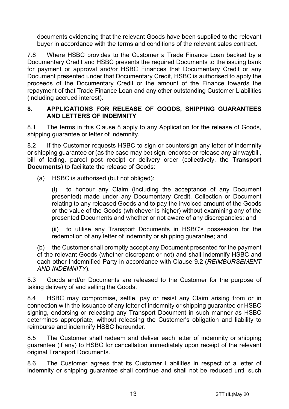documents evidencing that the relevant Goods have been supplied to the relevant buyer in accordance with the terms and conditions of the relevant sales contract.

7.8 Where HSBC provides to the Customer a Trade Finance Loan backed by a Documentary Credit and HSBC presents the required Documents to the issuing bank for payment or approval and/or HSBC Finances that Documentary Credit or any Document presented under that Documentary Credit, HSBC is authorised to apply the proceeds of the Documentary Credit or the amount of the Finance towards the repayment of that Trade Finance Loan and any other outstanding Customer Liabilities (including accrued interest).

#### **8. APPLICATIONS FOR RELEASE OF GOODS, SHIPPING GUARANTEES AND LETTERS OF INDEMNITY**

8.1 The terms in this Clause 8 apply to any Application for the release of Goods, shipping quarantee or letter of indemnity.

8.2 If the Customer requests HSBC to sign or countersign any letter of indemnity or shipping guarantee or (as the case may be) sign, endorse or release any air waybill, bill of lading, parcel post receipt or delivery order (collectively, the **Transport Documents**) to facilitate the release of Goods:

(a) HSBC is authorised (but not obliged):

(i) to honour any Claim (including the acceptance of any Document presented) made under any Documentary Credit, Collection or Document relating to any released Goods and to pay the invoiced amount of the Goods or the value of the Goods (whichever is higher) without examining any of the presented Documents and whether or not aware of any discrepancies; and

(ii) to utilise any Transport Documents in HSBC's possession for the redemption of any letter of indemnity or shipping guarantee; and

(b) the Customer shall promptly accept any Document presented for the payment of the relevant Goods (whether discrepant or not) and shall indemnify HSBC and each other Indemnified Party in accordance with Clause 9.2 (*REIMBURSEMENT AND INDEMNITY*).

8.3 Goods and/or Documents are released to the Customer for the purpose of taking delivery of and selling the Goods.

8.4 HSBC may compromise, settle, pay or resist any Claim arising from or in connection with the issuance of any letter of indemnity or shipping guarantee or HSBC signing, endorsing or releasing any Transport Document in such manner as HSBC determines appropriate, without releasing the Customer's obligation and liability to reimburse and indemnify HSBC hereunder.

8.5 The Customer shall redeem and deliver each letter of indemnity or shipping guarantee (if any) to HSBC for cancellation immediately upon receipt of the relevant original Transport Documents.

8.6 The Customer agrees that its Customer Liabilities in respect of a letter of indemnity or shipping guarantee shall continue and shall not be reduced until such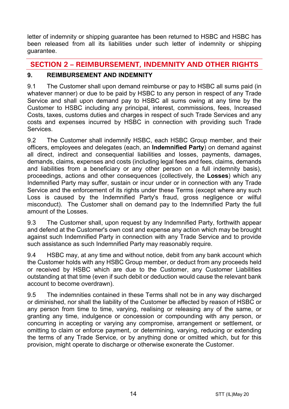letter of indemnity or shipping guarantee has been returned to HSBC and HSBC has been released from all its liabilities under such letter of indemnity or shipping guarantee.

# **SECTION 2 – REIMBURSEMENT, INDEMNITY AND OTHER RIGHTS**

# **9. REIMBURSEMENT AND INDEMNITY**

9.1 The Customer shall upon demand reimburse or pay to HSBC all sums paid (in whatever manner) or due to be paid by HSBC to any person in respect of any Trade Service and shall upon demand pay to HSBC all sums owing at any time by the Customer to HSBC including any principal, interest, commissions, fees, Increased Costs, taxes, customs duties and charges in respect of such Trade Services and any costs and expenses incurred by HSBC in connection with providing such Trade **Services** 

9.2 The Customer shall indemnify HSBC, each HSBC Group member, and their officers, employees and delegates (each, an **Indemnified Party**) on demand against all direct, indirect and consequential liabilities and losses, payments, damages, demands, claims, expenses and costs (including legal fees and fees, claims, demands and liabilities from a beneficiary or any other person on a full indemnity basis), proceedings, actions and other consequences (collectively, the **Losses**) which any Indemnified Party may suffer, sustain or incur under or in connection with any Trade Service and the enforcement of its rights under these Terms (except where any such Loss is caused by the Indemnified Party's fraud, gross negligence or wilful misconduct). The Customer shall on demand pay to the Indemnified Party the full amount of the Losses.

9.3 The Customer shall, upon request by any Indemnified Party, forthwith appear and defend at the Customer's own cost and expense any action which may be brought against such Indemnified Party in connection with any Trade Service and to provide such assistance as such Indemnified Party may reasonably require.

9.4 HSBC may, at any time and without notice, debit from any bank account which the Customer holds with any HSBC Group member, or deduct from any proceeds held or received by HSBC which are due to the Customer, any Customer Liabilities outstanding at that time (even if such debit or deduction would cause the relevant bank account to become overdrawn).

9.5 The indemnities contained in these Terms shall not be in any way discharged or diminished, nor shall the liability of the Customer be affected by reason of HSBC or any person from time to time, varying, realising or releasing any of the same, or granting any time, indulgence or concession or compounding with any person, or concurring in accepting or varying any compromise, arrangement or settlement, or omitting to claim or enforce payment, or determining, varying, reducing or extending the terms of any Trade Service, or by anything done or omitted which, but for this provision, might operate to discharge or otherwise exonerate the Customer.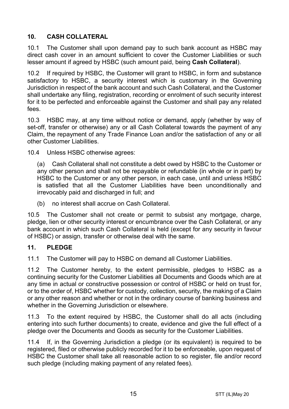# **10. CASH COLLATERAL**

10.1 The Customer shall upon demand pay to such bank account as HSBC may direct cash cover in an amount sufficient to cover the Customer Liabilities or such lesser amount if agreed by HSBC (such amount paid, being **Cash Collateral**).

10.2 If required by HSBC, the Customer will grant to HSBC, in form and substance satisfactory to HSBC, a security interest which is customary in the Governing Jurisdiction in respect of the bank account and such Cash Collateral, and the Customer shall undertake any filing, registration, recording or enrolment of such security interest for it to be perfected and enforceable against the Customer and shall pay any related fees.

10.3 HSBC may, at any time without notice or demand, apply (whether by way of set-off, transfer or otherwise) any or all Cash Collateral towards the payment of any Claim, the repayment of any Trade Finance Loan and/or the satisfaction of any or all other Customer Liabilities.

10.4 Unless HSBC otherwise agrees:

(a) Cash Collateral shall not constitute a debt owed by HSBC to the Customer or any other person and shall not be repayable or refundable (in whole or in part) by HSBC to the Customer or any other person, in each case, until and unless HSBC is satisfied that all the Customer Liabilities have been unconditionally and irrevocably paid and discharged in full; and

(b) no interest shall accrue on Cash Collateral.

10.5 The Customer shall not create or permit to subsist any mortgage, charge, pledge, lien or other security interest or encumbrance over the Cash Collateral, or any bank account in which such Cash Collateral is held (except for any security in favour of HSBC) or assign, transfer or otherwise deal with the same.

## **11. PLEDGE**

11.1 The Customer will pay to HSBC on demand all Customer Liabilities.

11.2 The Customer hereby, to the extent permissible, pledges to HSBC as a continuing security for the Customer Liabilities all Documents and Goods which are at any time in actual or constructive possession or control of HSBC or held on trust for, or to the order of, HSBC whether for custody, collection, security, the making of a Claim or any other reason and whether or not in the ordinary course of banking business and whether in the Governing Jurisdiction or elsewhere.

11.3 To the extent required by HSBC, the Customer shall do all acts (including entering into such further documents) to create, evidence and give the full effect of a pledge over the Documents and Goods as security for the Customer Liabilities.

11.4 If, in the Governing Jurisdiction a pledge (or its equivalent) is required to be registered, filed or otherwise publicly recorded for it to be enforceable, upon request of HSBC the Customer shall take all reasonable action to so register, file and/or record such pledge (including making payment of any related fees).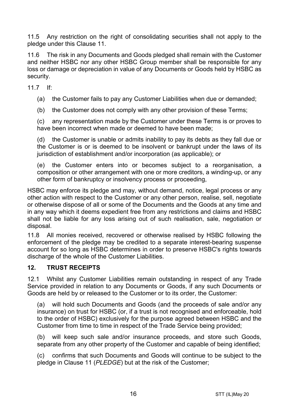11.5 Any restriction on the right of consolidating securities shall not apply to the pledge under this Clause 11.

11.6 The risk in any Documents and Goods pledged shall remain with the Customer and neither HSBC nor any other HSBC Group member shall be responsible for any loss or damage or depreciation in value of any Documents or Goods held by HSBC as security.

11.7 If:

(a) the Customer fails to pay any Customer Liabilities when due or demanded;

(b) the Customer does not comply with any other provision of these Terms;

(c) any representation made by the Customer under these Terms is or proves to have been incorrect when made or deemed to have been made;

(d) the Customer is unable or admits inability to pay its debts as they fall due or the Customer is or is deemed to be insolvent or bankrupt under the laws of its jurisdiction of establishment and/or incorporation (as applicable); or

(e) the Customer enters into or becomes subject to a reorganisation, a composition or other arrangement with one or more creditors, a winding-up, or any other form of bankruptcy or insolvency process or proceeding,

HSBC may enforce its pledge and may, without demand, notice, legal process or any other action with respect to the Customer or any other person, realise, sell, negotiate or otherwise dispose of all or some of the Documents and the Goods at any time and in any way which it deems expedient free from any restrictions and claims and HSBC shall not be liable for any loss arising out of such realisation, sale, negotiation or disposal.

11.8 All monies received, recovered or otherwise realised by HSBC following the enforcement of the pledge may be credited to a separate interest-bearing suspense account for so long as HSBC determines in order to preserve HSBC's rights towards discharge of the whole of the Customer Liabilities.

## **12. TRUST RECEIPTS**

12.1 Whilst any Customer Liabilities remain outstanding in respect of any Trade Service provided in relation to any Documents or Goods, if any such Documents or Goods are held by or released to the Customer or to its order, the Customer:

(a) will hold such Documents and Goods (and the proceeds of sale and/or any insurance) on trust for HSBC (or, if a trust is not recognised and enforceable, hold to the order of HSBC) exclusively for the purpose agreed between HSBC and the Customer from time to time in respect of the Trade Service being provided;

(b) will keep such sale and/or insurance proceeds, and store such Goods, separate from any other property of the Customer and capable of being identified;

(c) confirms that such Documents and Goods will continue to be subject to the pledge in Clause 11 (*PLEDGE*) but at the risk of the Customer;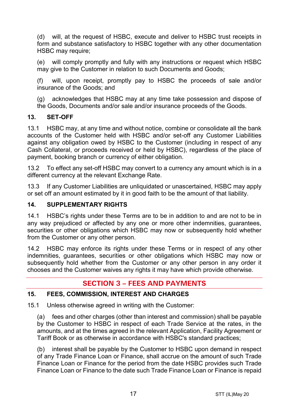(d) will, at the request of HSBC, execute and deliver to HSBC trust receipts in form and substance satisfactory to HSBC together with any other documentation HSBC may require:

(e) will comply promptly and fully with any instructions or request which HSBC may give to the Customer in relation to such Documents and Goods;

(f) will, upon receipt, promptly pay to HSBC the proceeds of sale and/or insurance of the Goods; and

(g) acknowledges that HSBC may at any time take possession and dispose of the Goods, Documents and/or sale and/or insurance proceeds of the Goods.

# **13. SET-OFF**

13.1 HSBC may, at any time and without notice, combine or consolidate all the bank accounts of the Customer held with HSBC and/or set-off any Customer Liabilities against any obligation owed by HSBC to the Customer (including in respect of any Cash Collateral, or proceeds received or held by HSBC), regardless of the place of payment, booking branch or currency of either obligation.

13.2 To effect any set-off HSBC may convert to a currency any amount which is in a different currency at the relevant Exchange Rate.

13.3 If any Customer Liabilities are unliquidated or unascertained, HSBC may apply or set off an amount estimated by it in good faith to be the amount of that liability.

## **14. SUPPLEMENTARY RIGHTS**

14.1 HSBC's rights under these Terms are to be in addition to and are not to be in any way prejudiced or affected by any one or more other indemnities, guarantees, securities or other obligations which HSBC may now or subsequently hold whether from the Customer or any other person.

14.2 HSBC may enforce its rights under these Terms or in respect of any other indemnities, guarantees, securities or other obligations which HSBC may now or subsequently hold whether from the Customer or any other person in any order it chooses and the Customer waives any rights it may have which provide otherwise.

# **SECTION 3 – FEES AND PAYMENTS**

## **15. FEES, COMMISSION, INTEREST AND CHARGES**

15.1 Unless otherwise agreed in writing with the Customer:

(a) fees and other charges (other than interest and commission) shall be payable by the Customer to HSBC in respect of each Trade Service at the rates, in the amounts, and at the times agreed in the relevant Application, Facility Agreement or Tariff Book or as otherwise in accordance with HSBC's standard practices;

(b) interest shall be payable by the Customer to HSBC upon demand in respect of any Trade Finance Loan or Finance, shall accrue on the amount of such Trade Finance Loan or Finance for the period from the date HSBC provides such Trade Finance Loan or Finance to the date such Trade Finance Loan or Finance is repaid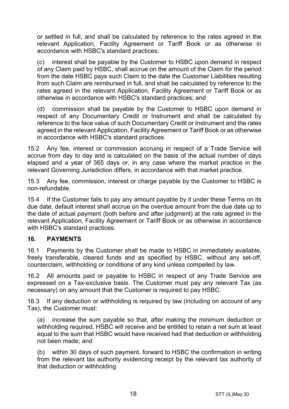or settled in full, and shall be calculated by reference to the rates agreed in the relevant Application, Facility Agreement or Tariff Book or as otherwise in accordance with HSBC's standard practices;

(c) interest shall be payable by the Customer to HSBC upon demand in respect of any Claim paid by HSBC, shall accrue on the amount of the Claim for the period from the date HSBC pays such Claim to the date the Customer Liabilities resulting from such Claim are reimbursed in full, and shall be calculated by reference to the rates agreed in the relevant Application, Facility Agreement or Tariff Book or as otherwise in accordance with HSBC's standard practices; and

(d) commission shall be payable by the Customer to HSBC upon demand in respect of any Documentary Credit or Instrument and shall be calculated by reference to the face value of such Documentary Credit or Instrument and the rates agreed in the relevant Application, Facility Agreement or Tariff Book or as otherwise in accordance with HSBC's standard practices.

15.2 Any fee, interest or commission accruing in respect of a Trade Service will accrue from day to day and is calculated on the basis of the actual number of days elapsed and a year of 365 days or, in any case where the market practice in the relevant Governing Jurisdiction differs, in accordance with that market practice.

15.3 Any fee, commission, interest or charge payable by the Customer to HSBC is non-refundable.

15.4 If the Customer fails to pay any amount payable by it under these Terms on its due date, default interest shall accrue on the overdue amount from the due date up to the date of actual payment (both before and after judgment) at the rate agreed in the relevant Application, Facility Agreement or Tariff Book or as otherwise in accordance with HSBC's standard practices.

## **16. PAYMENTS**

16.1 Payments by the Customer shall be made to HSBC in immediately available, freely transferable, cleared funds and as specified by HSBC, without any set-off, counterclaim, withholding or conditions of any kind unless compelled by law.

16.2 All amounts paid or payable to HSBC in respect of any Trade Service are expressed on a Tax-exclusive basis. The Customer must pay any relevant Tax (as necessary) on any amount that the Customer is required to pay HSBC.

16.3 If any deduction or withholding is required by law (including on account of any Tax), the Customer must:

(a) increase the sum payable so that, after making the minimum deduction or withholding required, HSBC will receive and be entitled to retain a net sum at least equal to the sum that HSBC would have received had that deduction or withholding not been made; and

(b) within 30 days of such payment, forward to HSBC the confirmation in writing from the relevant tax authority evidencing receipt by the relevant tax authority of that deduction or withholding.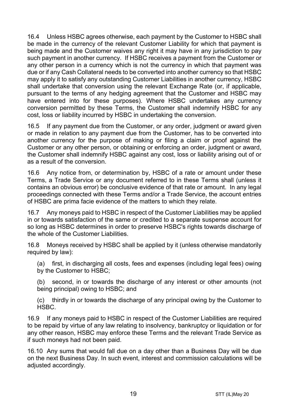16.4 Unless HSBC agrees otherwise, each payment by the Customer to HSBC shall be made in the currency of the relevant Customer Liability for which that payment is being made and the Customer waives any right it may have in any jurisdiction to pay such payment in another currency. If HSBC receives a payment from the Customer or any other person in a currency which is not the currency in which that payment was due or if any Cash Collateral needs to be converted into another currency so that HSBC may apply it to satisfy any outstanding Customer Liabilities in another currency, HSBC shall undertake that conversion using the relevant Exchange Rate (or, if applicable, pursuant to the terms of any hedging agreement that the Customer and HSBC may have entered into for these purposes). Where HSBC undertakes any currency conversion permitted by these Terms, the Customer shall indemnify HSBC for any cost, loss or liability incurred by HSBC in undertaking the conversion.

16.5 If any payment due from the Customer, or any order, judgment or award given or made in relation to any payment due from the Customer, has to be converted into another currency for the purpose of making or filing a claim or proof against the Customer or any other person, or obtaining or enforcing an order, judgment or award, the Customer shall indemnify HSBC against any cost, loss or liability arising out of or as a result of the conversion.

16.6 Any notice from, or determination by, HSBC of a rate or amount under these Terms, a Trade Service or any document referred to in these Terms shall (unless it contains an obvious error) be conclusive evidence of that rate or amount. In any legal proceedings connected with these Terms and/or a Trade Service, the account entries of HSBC are prima facie evidence of the matters to which they relate.

16.7 Any moneys paid to HSBC in respect of the Customer Liabilities may be applied in or towards satisfaction of the same or credited to a separate suspense account for so long as HSBC determines in order to preserve HSBC's rights towards discharge of the whole of the Customer Liabilities.

16.8 Moneys received by HSBC shall be applied by it (unless otherwise mandatorily required by law):

(a) first, in discharging all costs, fees and expenses (including legal fees) owing by the Customer to HSBC;

(b) second, in or towards the discharge of any interest or other amounts (not being principal) owing to HSBC; and

(c) thirdly in or towards the discharge of any principal owing by the Customer to HSBC.

16.9 If any moneys paid to HSBC in respect of the Customer Liabilities are required to be repaid by virtue of any law relating to insolvency, bankruptcy or liquidation or for any other reason, HSBC may enforce these Terms and the relevant Trade Service as if such moneys had not been paid.

16.10 Any sums that would fall due on a day other than a Business Day will be due on the next Business Day. In such event, interest and commission calculations will be adiusted accordingly.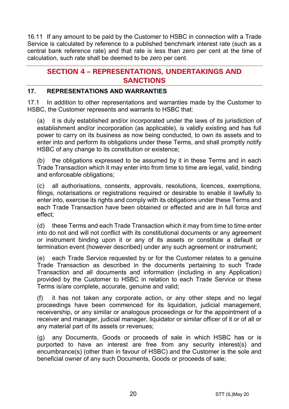16.11 If any amount to be paid by the Customer to HSBC in connection with a Trade Service is calculated by reference to a published benchmark interest rate (such as a central bank reference rate) and that rate is less than zero per cent at the time of calculation, such rate shall be deemed to be zero per cent.

# **SECTION 4 – REPRESENTATIONS, UNDERTAKINGS AND SANCTIONS**

## **17. REPRESENTATIONS AND WARRANTIES**

17.1 In addition to other representations and warranties made by the Customer to HSBC, the Customer represents and warrants to HSBC that:

(a) it is duly established and/or incorporated under the laws of its jurisdiction of establishment and/or incorporation (as applicable), is validly existing and has full power to carry on its business as now being conducted, to own its assets and to enter into and perform its obligations under these Terms, and shall promptly notify HSBC of any change to its constitution or existence;

(b) the obligations expressed to be assumed by it in these Terms and in each Trade Transaction which it may enter into from time to time are legal, valid, binding and enforceable obligations;

(c) all authorisations, consents, approvals, resolutions, licences, exemptions, filings, notarisations or registrations required or desirable to enable it lawfully to enter into, exercise its rights and comply with its obligations under these Terms and each Trade Transaction have been obtained or effected and are in full force and effect;

(d) these Terms and each Trade Transaction which it may from time to time enter into do not and will not conflict with its constitutional documents or any agreement or instrument binding upon it or any of its assets or constitute a default or termination event (however described) under any such agreement or instrument;

(e) each Trade Service requested by or for the Customer relates to a genuine Trade Transaction as described in the documents pertaining to such Trade Transaction and all documents and information (including in any Application) provided by the Customer to HSBC in relation to each Trade Service or these Terms is/are complete, accurate, genuine and valid;

(f) it has not taken any corporate action, or any other steps and no legal proceedings have been commenced for its liquidation, judicial management, receivership, or any similar or analogous proceedings or for the appointment of a receiver and manager, judicial manager, liquidator or similar officer of it or of all or any material part of its assets or revenues;

(g) any Documents, Goods or proceeds of sale in which HSBC has or is purported to have an interest are free from any security interest(s) and encumbrance(s) (other than in favour of HSBC) and the Customer is the sole and beneficial owner of any such Documents, Goods or proceeds of sale;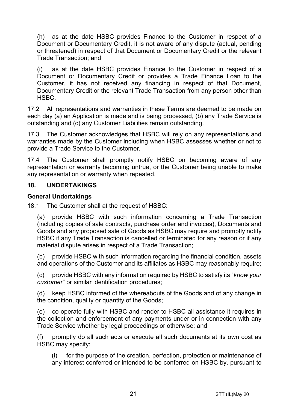(h) as at the date HSBC provides Finance to the Customer in respect of a Document or Documentary Credit, it is not aware of any dispute (actual, pending or threatened) in respect of that Document or Documentary Credit or the relevant Trade Transaction; and

(i) as at the date HSBC provides Finance to the Customer in respect of a Document or Documentary Credit or provides a Trade Finance Loan to the Customer, it has not received any financing in respect of that Document, Documentary Credit or the relevant Trade Transaction from any person other than HSBC.

17.2 All representations and warranties in these Terms are deemed to be made on each day (a) an Application is made and is being processed, (b) any Trade Service is outstanding and (c) any Customer Liabilities remain outstanding.

17.3 The Customer acknowledges that HSBC will rely on any representations and warranties made by the Customer including when HSBC assesses whether or not to provide a Trade Service to the Customer.

17.4 The Customer shall promptly notify HSBC on becoming aware of any representation or warranty becoming untrue, or the Customer being unable to make any representation or warranty when repeated.

#### **18. UNDERTAKINGS**

#### **General Undertakings**

18.1 The Customer shall at the request of HSBC:

(a) provide HSBC with such information concerning a Trade Transaction (including copies of sale contracts, purchase order and invoices), Documents and Goods and any proposed sale of Goods as HSBC may require and promptly notify HSBC if any Trade Transaction is cancelled or terminated for any reason or if any material dispute arises in respect of a Trade Transaction;

(b) provide HSBC with such information regarding the financial condition, assets and operations of the Customer and its affiliates as HSBC may reasonably require;

(c) provide HSBC with any information required by HSBC to satisfy its "*know your customer*" or similar identification procedures;

(d) keep HSBC informed of the whereabouts of the Goods and of any change in the condition, quality or quantity of the Goods;

(e) co-operate fully with HSBC and render to HSBC all assistance it requires in the collection and enforcement of any payments under or in connection with any Trade Service whether by legal proceedings or otherwise; and

(f) promptly do all such acts or execute all such documents at its own cost as HSBC may specify:

(i) for the purpose of the creation, perfection, protection or maintenance of any interest conferred or intended to be conferred on HSBC by, pursuant to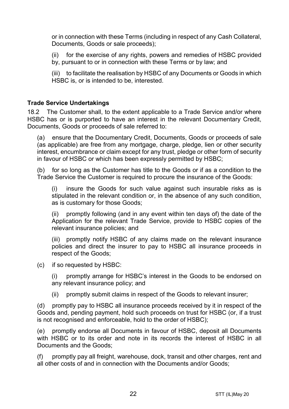or in connection with these Terms (including in respect of any Cash Collateral, Documents, Goods or sale proceeds);

(ii) for the exercise of any rights, powers and remedies of HSBC provided by, pursuant to or in connection with these Terms or by law; and

(iii) to facilitate the realisation by HSBC of any Documents or Goods in which HSBC is, or is intended to be, interested.

#### **Trade Service Undertakings**

18.2 The Customer shall, to the extent applicable to a Trade Service and/or where HSBC has or is purported to have an interest in the relevant Documentary Credit, Documents, Goods or proceeds of sale referred to:

(a) ensure that the Documentary Credit, Documents, Goods or proceeds of sale (as applicable) are free from any mortgage, charge, pledge, lien or other security interest, encumbrance or claim except for any trust, pledge or other form of security in favour of HSBC or which has been expressly permitted by HSBC;

(b) for so long as the Customer has title to the Goods or if as a condition to the Trade Service the Customer is required to procure the insurance of the Goods:

(i) insure the Goods for such value against such insurable risks as is stipulated in the relevant condition or, in the absence of any such condition, as is customary for those Goods;

(ii) promptly following (and in any event within ten days of) the date of the Application for the relevant Trade Service, provide to HSBC copies of the relevant insurance policies; and

(iii) promptly notify HSBC of any claims made on the relevant insurance policies and direct the insurer to pay to HSBC all insurance proceeds in respect of the Goods;

(c) if so requested by HSBC:

(i) promptly arrange for HSBC's interest in the Goods to be endorsed on any relevant insurance policy; and

(ii) promptly submit claims in respect of the Goods to relevant insurer;

(d) promptly pay to HSBC all insurance proceeds received by it in respect of the Goods and, pending payment, hold such proceeds on trust for HSBC (or, if a trust is not recognised and enforceable, hold to the order of HSBC);

(e) promptly endorse all Documents in favour of HSBC, deposit all Documents with HSBC or to its order and note in its records the interest of HSBC in all Documents and the Goods;

(f) promptly pay all freight, warehouse, dock, transit and other charges, rent and all other costs of and in connection with the Documents and/or Goods;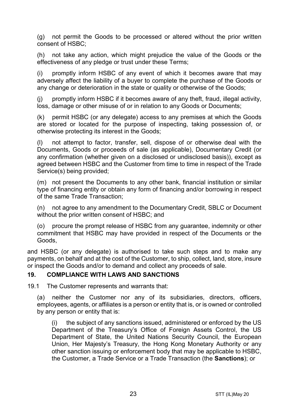(g) not permit the Goods to be processed or altered without the prior written consent of HSBC;

(h) not take any action, which might prejudice the value of the Goods or the effectiveness of any pledge or trust under these Terms;

(i) promptly inform HSBC of any event of which it becomes aware that may adversely affect the liability of a buyer to complete the purchase of the Goods or any change or deterioration in the state or quality or otherwise of the Goods;

(j) promptly inform HSBC if it becomes aware of any theft, fraud, illegal activity, loss, damage or other misuse of or in relation to any Goods or Documents;

(k) permit HSBC (or any delegate) access to any premises at which the Goods are stored or located for the purpose of inspecting, taking possession of, or otherwise protecting its interest in the Goods;

(l) not attempt to factor, transfer, sell, dispose of or otherwise deal with the Documents, Goods or proceeds of sale (as applicable), Documentary Credit (or any confirmation (whether given on a disclosed or undisclosed basis)), except as agreed between HSBC and the Customer from time to time in respect of the Trade Service(s) being provided;

(m) not present the Documents to any other bank, financial institution or similar type of financing entity or obtain any form of financing and/or borrowing in respect of the same Trade Transaction;

(n) not agree to any amendment to the Documentary Credit, SBLC or Document without the prior written consent of HSBC; and

(o) procure the prompt release of HSBC from any guarantee, indemnity or other commitment that HSBC may have provided in respect of the Documents or the Goods,

and HSBC (or any delegate) is authorised to take such steps and to make any payments, on behalf and at the cost of the Customer, to ship, collect, land, store, insure or inspect the Goods and/or to demand and collect any proceeds of sale.

#### **19. COMPLIANCE WITH LAWS AND SANCTIONS**

19.1 The Customer represents and warrants that:

(a) neither the Customer nor any of its subsidiaries, directors, officers, employees, agents, or affiliates is a person or entity that is, or is owned or controlled by any person or entity that is:

(i) the subject of any sanctions issued, administered or enforced by the US Department of the Treasury's Office of Foreign Assets Control, the US Department of State, the United Nations Security Council, the European Union, Her Majesty's Treasury, the Hong Kong Monetary Authority or any other sanction issuing or enforcement body that may be applicable to HSBC, the Customer, a Trade Service or a Trade Transaction (the **Sanctions**); or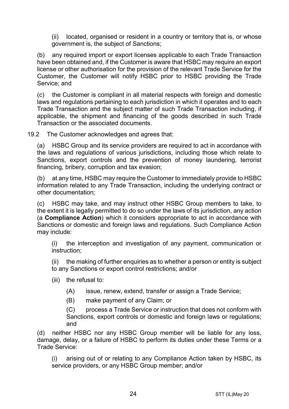(ii) located, organised or resident in a country or territory that is, or whose government is, the subject of Sanctions;

(b) any required import or export licenses applicable to each Trade Transaction have been obtained and, if the Customer is aware that HSBC may require an export license or other authorisation for the provision of the relevant Trade Service for the Customer, the Customer will notify HSBC prior to HSBC providing the Trade Service; and

(c) the Customer is compliant in all material respects with foreign and domestic laws and regulations pertaining to each jurisdiction in which it operates and to each Trade Transaction and the subject matter of such Trade Transaction including, if applicable, the shipment and financing of the goods described in such Trade Transaction or the associated documents.

19.2 The Customer acknowledges and agrees that:

(a) HSBC Group and its service providers are required to act in accordance with the laws and regulations of various jurisdictions, including those which relate to Sanctions, export controls and the prevention of money laundering, terrorist financing, bribery, corruption and tax evasion;

(b) at any time, HSBC may require the Customer to immediately provide to HSBC information related to any Trade Transaction, including the underlying contract or other documentation;

(c) HSBC may take, and may instruct other HSBC Group members to take, to the extent it is legally permitted to do so under the laws of its jurisdiction, any action (a **Compliance Action**) which it considers appropriate to act in accordance with Sanctions or domestic and foreign laws and regulations. Such Compliance Action may include:

(i) the interception and investigation of any payment, communication or instruction;

(ii) the making of further enquiries as to whether a person or entity is subject to any Sanctions or export control restrictions; and/or

- (iii) the refusal to:
	- (A) issue, renew, extend, transfer or assign a Trade Service;
	- (B) make payment of any Claim; or

(C) process a Trade Service or instruction that does not conform with Sanctions, export controls or domestic and foreign laws or regulations; and

(d) neither HSBC nor any HSBC Group member will be liable for any loss, damage, delay, or a failure of HSBC to perform its duties under these Terms or a Trade Service:

(i) arising out of or relating to any Compliance Action taken by HSBC, its service providers, or any HSBC Group member; and/or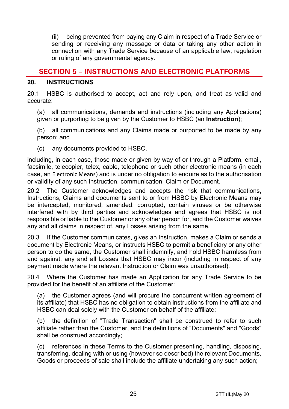(ii) being prevented from paying any Claim in respect of a Trade Service or sending or receiving any message or data or taking any other action in connection with any Trade Service because of an applicable law, regulation or ruling of any governmental agency.

# **SECTION 5 – INSTRUCTIONS AND ELECTRONIC PLATFORMS**

#### **20. INSTRUCTIONS**

20.1 HSBC is authorised to accept, act and rely upon, and treat as valid and accurate:

(a) all communications, demands and instructions (including any Applications) given or purporting to be given by the Customer to HSBC (an **Instruction**);

(b) all communications and any Claims made or purported to be made by any person; and

(c) any documents provided to HSBC,

including, in each case, those made or given by way of or through a Platform, email, facsimile, telecopier, telex, cable, telephone or such other electronic means (in each case, an Electronic Means) and is under no obligation to enquire as to the authorisation or validity of any such Instruction, communication, Claim or Document.

20.2 The Customer acknowledges and accepts the risk that communications, Instructions, Claims and documents sent to or from HSBC by Electronic Means may be intercepted, monitored, amended, corrupted, contain viruses or be otherwise interfered with by third parties and acknowledges and agrees that HSBC is not responsible or liable to the Customer or any other person for, and the Customer waives any and all claims in respect of, any Losses arising from the same.

20.3 If the Customer communicates, gives an Instruction, makes a Claim or sends a document by Electronic Means, or instructs HSBC to permit a beneficiary or any other person to do the same, the Customer shall indemnify, and hold HSBC harmless from and against, any and all Losses that HSBC may incur (including in respect of any payment made where the relevant Instruction or Claim was unauthorised).

20.4 Where the Customer has made an Application for any Trade Service to be provided for the benefit of an affiliate of the Customer:

(a) the Customer agrees (and will procure the concurrent written agreement of its affiliate) that HSBC has no obligation to obtain instructions from the affiliate and HSBC can deal solely with the Customer on behalf of the affiliate;

(b) the definition of "Trade Transaction" shall be construed to refer to such affiliate rather than the Customer, and the definitions of "Documents" and "Goods" shall be construed accordingly;

(c) references in these Terms to the Customer presenting, handling, disposing, transferring, dealing with or using (however so described) the relevant Documents, Goods or proceeds of sale shall include the affiliate undertaking any such action;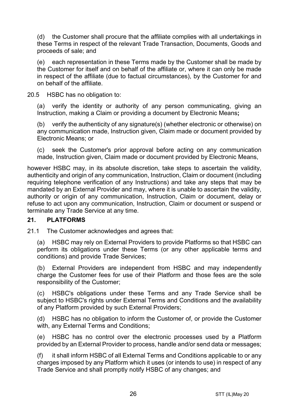(d) the Customer shall procure that the affiliate complies with all undertakings in these Terms in respect of the relevant Trade Transaction, Documents, Goods and proceeds of sale; and

(e) each representation in these Terms made by the Customer shall be made by the Customer for itself and on behalf of the affiliate or, where it can only be made in respect of the affiliate (due to factual circumstances), by the Customer for and on behalf of the affiliate.

20.5 HSBC has no obligation to:

(a) verify the identity or authority of any person communicating, giving an Instruction, making a Claim or providing a document by Electronic Means**;**

(b) verify the authenticity of any signature(s) (whether electronic or otherwise) on any communication made, Instruction given, Claim made or document provided by Electronic Means; or

(c) seek the Customer's prior approval before acting on any communication made, Instruction given, Claim made or document provided by Electronic Means,

however HSBC may, in its absolute discretion, take steps to ascertain the validity, authenticity and origin of any communication, Instruction, Claim or document (including requiring telephone verification of any Instructions) and take any steps that may be mandated by an External Provider and may, where it is unable to ascertain the validity, authority or origin of any communication, Instruction, Claim or document, delay or refuse to act upon any communication, Instruction, Claim or document or suspend or terminate any Trade Service at any time.

#### **21. PLATFORMS**

21.1 The Customer acknowledges and agrees that:

(a) HSBC may rely on External Providers to provide Platforms so that HSBC can perform its obligations under these Terms (or any other applicable terms and conditions) and provide Trade Services;

(b) External Providers are independent from HSBC and may independently charge the Customer fees for use of their Platform and those fees are the sole responsibility of the Customer;

(c) HSBC's obligations under these Terms and any Trade Service shall be subject to HSBC's rights under External Terms and Conditions and the availability of any Platform provided by such External Providers;

(d) HSBC has no obligation to inform the Customer of, or provide the Customer with, any External Terms and Conditions;

(e) HSBC has no control over the electronic processes used by a Platform provided by an External Provider to process, handle and/or send data or messages;

(f) it shall inform HSBC of all External Terms and Conditions applicable to or any charges imposed by any Platform which it uses (or intends to use) in respect of any Trade Service and shall promptly notify HSBC of any changes; and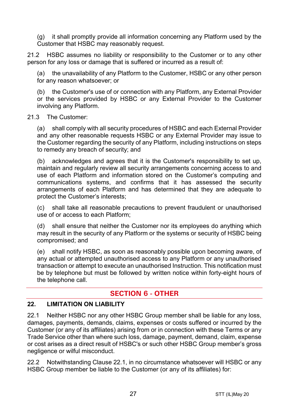(g) it shall promptly provide all information concerning any Platform used by the Customer that HSBC may reasonably request.

21.2 HSBC assumes no liability or responsibility to the Customer or to any other person for any loss or damage that is suffered or incurred as a result of:

the unavailability of any Platform to the Customer, HSBC or any other person for any reason whatsoever; or

(b) the Customer's use of or connection with any Platform, any External Provider or the services provided by HSBC or any External Provider to the Customer involving any Platform.

#### 21.3 The Customer:

(a) shall comply with all security procedures of HSBC and each External Provider and any other reasonable requests HSBC or any External Provider may issue to the Customer regarding the security of any Platform, including instructions on steps to remedy any breach of security; and

(b) acknowledges and agrees that it is the Customer's responsibility to set up, maintain and regularly review all security arrangements concerning access to and use of each Platform and information stored on the Customer's computing and communications systems, and confirms that it has assessed the security arrangements of each Platform and has determined that they are adequate to protect the Customer's interests;

(c) shall take all reasonable precautions to prevent fraudulent or unauthorised use of or access to each Platform;

(d) shall ensure that neither the Customer nor its employees do anything which may result in the security of any Platform or the systems or security of HSBC being compromised; and

(e) shall notify HSBC, as soon as reasonably possible upon becoming aware, of any actual or attempted unauthorised access to any Platform or any unauthorised transaction or attempt to execute an unauthorised Instruction. This notification must be by telephone but must be followed by written notice within forty-eight hours of the telephone call.

# **SECTION 6 - OTHER**

## **22. LIMITATION ON LIABILITY**

22.1 Neither HSBC nor any other HSBC Group member shall be liable for any loss, damages, payments, demands, claims, expenses or costs suffered or incurred by the Customer (or any of its affiliates) arising from or in connection with these Terms or any Trade Service other than where such loss, damage, payment, demand, claim, expense or cost arises as a direct result of HSBC's or such other HSBC Group member's gross negligence or wilful misconduct.

22.2 Notwithstanding Clause 22.1, in no circumstance whatsoever will HSBC or any HSBC Group member be liable to the Customer (or any of its affiliates) for: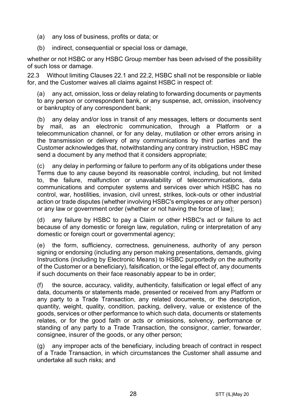- (a) any loss of business, profits or data; or
- (b) indirect, consequential or special loss or damage,

whether or not HSBC or any HSBC Group member has been advised of the possibility of such loss or damage.

22.3 Without limiting Clauses 22.1 and 22.2, HSBC shall not be responsible or liable for, and the Customer waives all claims against HSBC in respect of:

(a) any act, omission, loss or delay relating to forwarding documents or payments to any person or correspondent bank, or any suspense, act, omission, insolvency or bankruptcy of any correspondent bank;

(b) any delay and/or loss in transit of any messages, letters or documents sent by mail, as an electronic communication, through a Platform or a telecommunication channel, or for any delay, mutilation or other errors arising in the transmission or delivery of any communications by third parties and the Customer acknowledges that, notwithstanding any contrary instruction, HSBC may send a document by any method that it considers appropriate;

(c) any delay in performing or failure to perform any of its obligations under these Terms due to any cause beyond its reasonable control, including, but not limited to, the failure, malfunction or unavailability of telecommunications, data communications and computer systems and services over which HSBC has no control, war, hostilities, invasion, civil unrest, strikes, lock-outs or other industrial action or trade disputes (whether involving HSBC's employees or any other person) or any law or government order (whether or not having the force of law);

(d) any failure by HSBC to pay a Claim or other HSBC's act or failure to act because of any domestic or foreign law, regulation, ruling or interpretation of any domestic or foreign court or governmental agency;

(e) the form, sufficiency, correctness, genuineness, authority of any person signing or endorsing (including any person making presentations, demands, giving Instructions (including by Electronic Means) to HSBC purportedly on the authority of the Customer or a beneficiary), falsification, or the legal effect of, any documents if such documents on their face reasonably appear to be in order;

(f) the source, accuracy, validity, authenticity, falsification or legal effect of any data, documents or statements made, presented or received from any Platform or any party to a Trade Transaction, any related documents, or the description, quantity, weight, quality, condition, packing, delivery, value or existence of the goods, services or other performance to which such data, documents or statements relates, or for the good faith or acts or omissions, solvency, performance or standing of any party to a Trade Transaction, the consignor, carrier, forwarder, consignee, insurer of the goods, or any other person;

(g) any improper acts of the beneficiary, including breach of contract in respect of a Trade Transaction, in which circumstances the Customer shall assume and undertake all such risks; and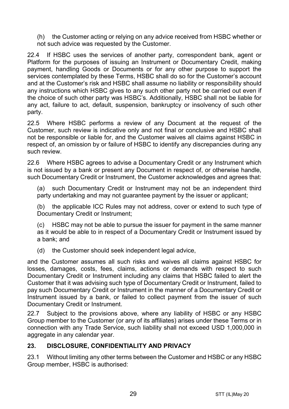(h) the Customer acting or relying on any advice received from HSBC whether or not such advice was requested by the Customer.

22.4 If HSBC uses the services of another party, correspondent bank, agent or Platform for the purposes of issuing an Instrument or Documentary Credit, making payment, handling Goods or Documents or for any other purpose to support the services contemplated by these Terms, HSBC shall do so for the Customer's account and at the Customer's risk and HSBC shall assume no liability or responsibility should any instructions which HSBC gives to any such other party not be carried out even if the choice of such other party was HSBC's. Additionally, HSBC shall not be liable for any act, failure to act, default, suspension, bankruptcy or insolvency of such other party.

22.5 Where HSBC performs a review of any Document at the request of the Customer, such review is indicative only and not final or conclusive and HSBC shall not be responsible or liable for, and the Customer waives all claims against HSBC in respect of, an omission by or failure of HSBC to identify any discrepancies during any such review.

22.6 Where HSBC agrees to advise a Documentary Credit or any Instrument which is not issued by a bank or present any Document in respect of, or otherwise handle, such Documentary Credit or Instrument, the Customer acknowledges and agrees that:

(a) such Documentary Credit or Instrument may not be an independent third party undertaking and may not quarantee payment by the issuer or applicant;

(b) the applicable ICC Rules may not address, cover or extend to such type of Documentary Credit or Instrument;

(c) HSBC may not be able to pursue the issuer for payment in the same manner as it would be able to in respect of a Documentary Credit or Instrument issued by a bank; and

(d) the Customer should seek independent legal advice,

and the Customer assumes all such risks and waives all claims against HSBC for losses, damages, costs, fees, claims, actions or demands with respect to such Documentary Credit or Instrument including any claims that HSBC failed to alert the Customer that it was advising such type of Documentary Credit or Instrument, failed to pay such Documentary Credit or Instrument in the manner of a Documentary Credit or Instrument issued by a bank, or failed to collect payment from the issuer of such Documentary Credit or Instrument.

22.7 Subject to the provisions above, where any liability of HSBC or any HSBC Group member to the Customer (or any of its affiliates) arises under these Terms or in connection with any Trade Service, such liability shall not exceed USD 1,000,000 in aggregate in any calendar year.

## **23. DISCLOSURE, CONFIDENTIALITY AND PRIVACY**

23.1 Without limiting any other terms between the Customer and HSBC or any HSBC Group member, HSBC is authorised: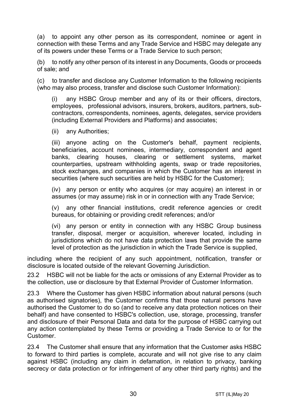(a) to appoint any other person as its correspondent, nominee or agent in connection with these Terms and any Trade Service and HSBC may delegate any of its powers under these Terms or a Trade Service to such person;

(b) to notify any other person of its interest in any Documents, Goods or proceeds of sale; and

(c) to transfer and disclose any Customer Information to the following recipients (who may also process, transfer and disclose such Customer Information):

(i) any HSBC Group member and any of its or their officers, directors, employees, professional advisors, insurers, brokers, auditors, partners, subcontractors, correspondents, nominees, agents, delegates, service providers (including External Providers and Platforms) and associates;

(ii) any Authorities;

(iii) anyone acting on the Customer's behalf, payment recipients, beneficiaries, account nominees, intermediary, correspondent and agent banks, clearing houses, clearing or settlement systems, market counterparties, upstream withholding agents, swap or trade repositories, stock exchanges, and companies in which the Customer has an interest in securities (where such securities are held by HSBC for the Customer);

(iv) any person or entity who acquires (or may acquire) an interest in or assumes (or may assume) risk in or in connection with any Trade Service;

(v) any other financial institutions, credit reference agencies or credit bureaus, for obtaining or providing credit references; and/or

(vi) any person or entity in connection with any HSBC Group business transfer, disposal, merger or acquisition, wherever located, including in jurisdictions which do not have data protection laws that provide the same level of protection as the jurisdiction in which the Trade Service is supplied,

including where the recipient of any such appointment, notification, transfer or disclosure is located outside of the relevant Governing Jurisdiction.

23.2 HSBC will not be liable for the acts or omissions of any External Provider as to the collection, use or disclosure by that External Provider of Customer Information.

23.3 Where the Customer has given HSBC information about natural persons (such as authorised signatories), the Customer confirms that those natural persons have authorised the Customer to do so (and to receive any data protection notices on their behalf) and have consented to HSBC's collection, use, storage, processing, transfer and disclosure of their Personal Data and data for the purpose of HSBC carrying out any action contemplated by these Terms or providing a Trade Service to or for the Customer.

23.4 The Customer shall ensure that any information that the Customer asks HSBC to forward to third parties is complete, accurate and will not give rise to any claim against HSBC (including any claim in defamation, in relation to privacy, banking secrecy or data protection or for infringement of any other third party rights) and the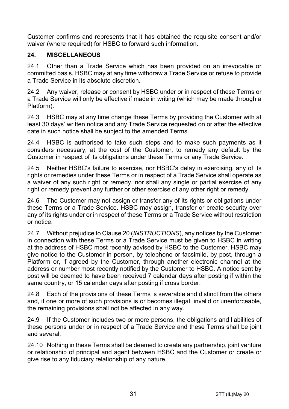Customer confirms and represents that it has obtained the requisite consent and/or waiver (where required) for HSBC to forward such information.

# **24. MISCELLANEOUS**

24.1 Other than a Trade Service which has been provided on an irrevocable or committed basis, HSBC may at any time withdraw a Trade Service or refuse to provide a Trade Service in its absolute discretion.

24.2 Any waiver, release or consent by HSBC under or in respect of these Terms or a Trade Service will only be effective if made in writing (which may be made through a Platform).

24.3 HSBC may at any time change these Terms by providing the Customer with at least 30 days' written notice and any Trade Service requested on or after the effective date in such notice shall be subject to the amended Terms.

24.4 HSBC is authorised to take such steps and to make such payments as it considers necessary, at the cost of the Customer, to remedy any default by the Customer in respect of its obligations under these Terms or any Trade Service.

24.5 Neither HSBC's failure to exercise, nor HSBC's delay in exercising, any of its rights or remedies under these Terms or in respect of a Trade Service shall operate as a waiver of any such right or remedy, nor shall any single or partial exercise of any right or remedy prevent any further or other exercise of any other right or remedy.

24.6 The Customer may not assign or transfer any of its rights or obligations under these Terms or a Trade Service. HSBC may assign, transfer or create security over any of its rights under or in respect of these Terms or a Trade Service without restriction or notice.

24.7 Without prejudice to Clause 20 (*INSTRUCTIONS*), any notices by the Customer in connection with these Terms or a Trade Service must be given to HSBC in writing at the address of HSBC most recently advised by HSBC to the Customer. HSBC may give notice to the Customer in person, by telephone or facsimile, by post, through a Platform or, if agreed by the Customer, through another electronic channel at the address or number most recently notified by the Customer to HSBC. A notice sent by post will be deemed to have been received 7 calendar days after posting if within the same country, or 15 calendar days after posting if cross border.

24.8 Each of the provisions of these Terms is severable and distinct from the others and, if one or more of such provisions is or becomes illegal, invalid or unenforceable, the remaining provisions shall not be affected in any way.

24.9 If the Customer includes two or more persons, the obligations and liabilities of these persons under or in respect of a Trade Service and these Terms shall be joint and several.

24.10 Nothing in these Terms shall be deemed to create any partnership, joint venture or relationship of principal and agent between HSBC and the Customer or create or give rise to any fiduciary relationship of any nature.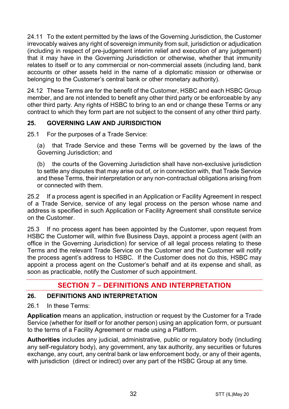24.11 To the extent permitted by the laws of the Governing Jurisdiction, the Customer irrevocably waives any right of sovereign immunity from suit, jurisdiction or adjudication (including in respect of pre-judgement interim relief and execution of any judgement) that it may have in the Governing Jurisdiction or otherwise, whether that immunity relates to itself or to any commercial or non-commercial assets (including land, bank accounts or other assets held in the name of a diplomatic mission or otherwise or belonging to the Customer's central bank or other monetary authority).

24.12 These Terms are for the benefit of the Customer, HSBC and each HSBC Group member, and are not intended to benefit any other third party or be enforceable by any other third party. Any rights of HSBC to bring to an end or change these Terms or any contract to which they form part are not subject to the consent of any other third party.

# **25. GOVERNING LAW AND JURISDICTION**

25.1 For the purposes of a Trade Service:

(a) that Trade Service and these Terms will be governed by the laws of the Governing Jurisdiction; and

(b) the courts of the Governing Jurisdiction shall have non-exclusive jurisdiction to settle any disputes that may arise out of, or in connection with, that Trade Service and these Terms, their interpretation or any non-contractual obligations arising from or connected with them.

25.2 If a process agent is specified in an Application or Facility Agreement in respect of a Trade Service, service of any legal process on the person whose name and address is specified in such Application or Facility Agreement shall constitute service on the Customer.

25.3 If no process agent has been appointed by the Customer, upon request from HSBC the Customer will, within five Business Days, appoint a process agent (with an office in the Governing Jurisdiction) for service of all legal process relating to these Terms and the relevant Trade Service on the Customer and the Customer will notify the process agent's address to HSBC. If the Customer does not do this, HSBC may appoint a process agent on the Customer's behalf and at its expense and shall, as soon as practicable, notify the Customer of such appointment.

# **SECTION 7 – DEFINITIONS AND INTERPRETATION**

## **26. DEFINITIONS AND INTERPRETATION**

26.1 In these Terms:

**Application** means an application, instruction or request by the Customer for a Trade Service (whether for itself or for another person) using an application form, or pursuant to the terms of a Facility Agreement or made using a Platform.

**Authorities** includes any judicial, administrative, public or regulatory body (including any self-regulatory body), any government, any tax authority, any securities or futures exchange, any court, any central bank or law enforcement body, or any of their agents, with jurisdiction (direct or indirect) over any part of the HSBC Group at any time.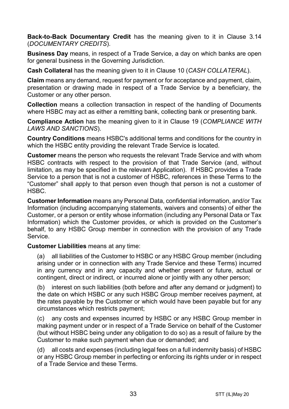**Back-to-Back Documentary Credit** has the meaning given to it in Clause 3.14 (*DOCUMENTARY CREDITS*).

**Business Day** means, in respect of a Trade Service, a day on which banks are open for general business in the Governing Jurisdiction.

**Cash Collateral** has the meaning given to it in Clause 10 (*CASH COLLATERAL*).

**Claim** means any demand, request for payment or for acceptance and payment, claim, presentation or drawing made in respect of a Trade Service by a beneficiary, the Customer or any other person.

**Collection** means a collection transaction in respect of the handling of Documents where HSBC may act as either a remitting bank, collecting bank or presenting bank.

**Compliance Action** has the meaning given to it in Clause 19 (*COMPLIANCE WITH LAWS AND SANCTIONS*).

**Country Conditions** means HSBC's additional terms and conditions for the country in which the HSBC entity providing the relevant Trade Service is located.

**Customer** means the person who requests the relevant Trade Service and with whom HSBC contracts with respect to the provision of that Trade Service (and, without limitation, as may be specified in the relevant Application). If HSBC provides a Trade Service to a person that is not a customer of HSBC, references in these Terms to the "Customer" shall apply to that person even though that person is not a customer of HSBC.

**Customer Information** means any Personal Data, confidential information, and/or Tax Information (including accompanying statements, waivers and consents) of either the Customer, or a person or entity whose information (including any Personal Data or Tax Information) which the Customer provides, or which is provided on the Customer's behalf, to any HSBC Group member in connection with the provision of any Trade Service.

**Customer Liabilities** means at any time:

(a) all liabilities of the Customer to HSBC or any HSBC Group member (including arising under or in connection with any Trade Service and these Terms) incurred in any currency and in any capacity and whether present or future, actual or contingent, direct or indirect, or incurred alone or jointly with any other person;

(b) interest on such liabilities (both before and after any demand or judgment) to the date on which HSBC or any such HSBC Group member receives payment, at the rates payable by the Customer or which would have been payable but for any circumstances which restricts payment;

(c) any costs and expenses incurred by HSBC or any HSBC Group member in making payment under or in respect of a Trade Service on behalf of the Customer (but without HSBC being under any obligation to do so) as a result of failure by the Customer to make such payment when due or demanded; and

(d) all costs and expenses (including legal fees on a full indemnity basis) of HSBC or any HSBC Group member in perfecting or enforcing its rights under or in respect of a Trade Service and these Terms.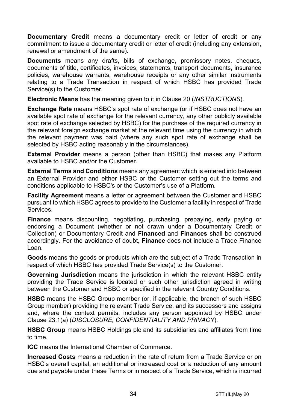**Documentary Credit** means a documentary credit or letter of credit or any commitment to issue a documentary credit or letter of credit (including any extension. renewal or amendment of the same).

**Documents** means any drafts, bills of exchange, promissory notes, cheques, documents of title, certificates, invoices, statements, transport documents, insurance policies, warehouse warrants, warehouse receipts or any other similar instruments relating to a Trade Transaction in respect of which HSBC has provided Trade Service(s) to the Customer.

**Electronic Means** has the meaning given to it in Clause 20 (*INSTRUCTIONS*).

**Exchange Rate** means HSBC's spot rate of exchange (or if HSBC does not have an available spot rate of exchange for the relevant currency, any other publicly available spot rate of exchange selected by HSBC) for the purchase of the required currency in the relevant foreign exchange market at the relevant time using the currency in which the relevant payment was paid (where any such spot rate of exchange shall be selected by HSBC acting reasonably in the circumstances).

**External Provider** means a person (other than HSBC) that makes any Platform available to HSBC and/or the Customer.

**External Terms and Conditions** means any agreement which is entered into between an External Provider and either HSBC or the Customer setting out the terms and conditions applicable to HSBC's or the Customer's use of a Platform.

**Facility Agreement** means a letter or agreement between the Customer and HSBC pursuant to which HSBC agrees to provide to the Customer a facility in respect of Trade Services.

**Finance** means discounting, negotiating, purchasing, prepaying, early paying or endorsing a Document (whether or not drawn under a Documentary Credit or Collection) or Documentary Credit and **Financed** and **Finances** shall be construed accordingly. For the avoidance of doubt, **Finance** does not include a Trade Finance Loan.

**Goods** means the goods or products which are the subject of a Trade Transaction in respect of which HSBC has provided Trade Service(s) to the Customer.

**Governing Jurisdiction** means the jurisdiction in which the relevant HSBC entity providing the Trade Service is located or such other jurisdiction agreed in writing between the Customer and HSBC or specified in the relevant Country Conditions.

**HSBC** means the HSBC Group member (or, if applicable, the branch of such HSBC Group member) providing the relevant Trade Service, and its successors and assigns and, where the context permits, includes any person appointed by HSBC under Clause 23.1(a) (*DISCLOSURE, CONFIDENTIALITY AND PRIVACY*).

**HSBC Group** means HSBC Holdings plc and its subsidiaries and affiliates from time to time.

**ICC** means the International Chamber of Commerce.

**Increased Costs** means a reduction in the rate of return from a Trade Service or on HSBC's overall capital, an additional or increased cost or a reduction of any amount due and payable under these Terms or in respect of a Trade Service, which is incurred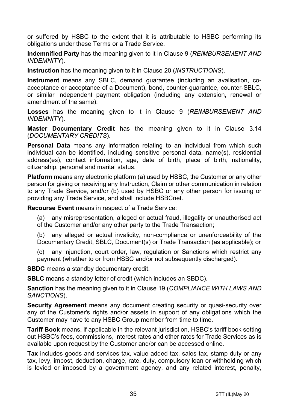or suffered by HSBC to the extent that it is attributable to HSBC performing its obligations under these Terms or a Trade Service.

**Indemnified Party** has the meaning given to it in Clause 9 (*REIMBURSEMENT AND INDEMNITY*).

**Instruction** has the meaning given to it in Clause 20 (*INSTRUCTIONS*).

**Instrument** means any SBLC, demand guarantee (including an avalisation, coacceptance or acceptance of a Document), bond, counter-guarantee, counter-SBLC, or similar independent payment obligation (including any extension, renewal or amendment of the same).

**Losses** has the meaning given to it in Clause 9 (*REIMBURSEMENT AND INDEMNITY*).

**Master Documentary Credit** has the meaning given to it in Clause 3.14 (*DOCUMENTARY CREDITS*).

**Personal Data** means any information relating to an individual from which such individual can be identified, including sensitive personal data, name(s), residential address(es), contact information, age, date of birth, place of birth, nationality, citizenship, personal and marital status.

**Platform** means any electronic platform (a) used by HSBC, the Customer or any other person for giving or receiving any Instruction, Claim or other communication in relation to any Trade Service, and/or (b) used by HSBC or any other person for issuing or providing any Trade Service, and shall include HSBCnet.

**Recourse Event** means in respect of a Trade Service:

(a) any misrepresentation, alleged or actual fraud, illegality or unauthorised act of the Customer and/or any other party to the Trade Transaction;

(b) any alleged or actual invalidity, non-compliance or unenforceability of the Documentary Credit, SBLC, Document(s) or Trade Transaction (as applicable); or

(c) any injunction, court order, law, regulation or Sanctions which restrict any payment (whether to or from HSBC and/or not subsequently discharged).

**SBDC** means a standby documentary credit.

**SBLC** means a standby letter of credit (which includes an SBDC).

**Sanction** has the meaning given to it in Clause 19 (*COMPLIANCE WITH LAWS AND SANCTIONS*).

**Security Agreement** means any document creating security or quasi-security over any of the Customer's rights and/or assets in support of any obligations which the Customer may have to any HSBC Group member from time to time.

**Tariff Book** means, if applicable in the relevant jurisdiction, HSBC's tariff book setting out HSBC's fees, commissions, interest rates and other rates for Trade Services as is available upon request by the Customer and/or can be accessed online.

**Tax** includes goods and services tax, value added tax, sales tax, stamp duty or any tax, levy, impost, deduction, charge, rate, duty, compulsory loan or withholding which is levied or imposed by a government agency, and any related interest, penalty,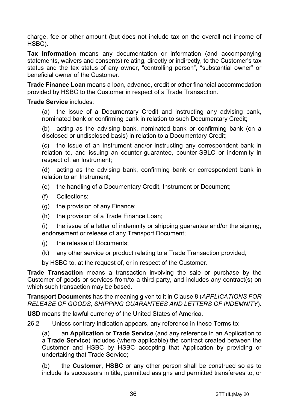charge, fee or other amount (but does not include tax on the overall net income of HSBC).

**Tax Information** means any documentation or information (and accompanying statements, waivers and consents) relating, directly or indirectly, to the Customer's tax status and the tax status of any owner, "controlling person", "substantial owner" or beneficial owner of the Customer.

**Trade Finance Loan** means a loan, advance, credit or other financial accommodation provided by HSBC to the Customer in respect of a Trade Transaction.

#### **Trade Service** includes:

(a) the issue of a Documentary Credit and instructing any advising bank, nominated bank or confirming bank in relation to such Documentary Credit;

(b) acting as the advising bank, nominated bank or confirming bank (on a disclosed or undisclosed basis) in relation to a Documentary Credit;

(c) the issue of an Instrument and/or instructing any correspondent bank in relation to, and issuing an counter-guarantee, counter-SBLC or indemnity in respect of, an Instrument;

(d) acting as the advising bank, confirming bank or correspondent bank in relation to an Instrument;

- (e) the handling of a Documentary Credit, Instrument or Document;
- (f) Collections;
- (g) the provision of any Finance;
- (h) the provision of a Trade Finance Loan;

(i) the issue of a letter of indemnity or shipping guarantee and/or the signing, endorsement or release of any Transport Document;

- (j) the release of Documents;
- (k) any other service or product relating to a Trade Transaction provided,

by HSBC to, at the request of, or in respect of the Customer.

**Trade Transaction** means a transaction involving the sale or purchase by the Customer of goods or services from/to a third party, and includes any contract(s) on which such transaction may be based.

**Transport Documents** has the meaning given to it in Clause 8 (*APPLICATIONS FOR RELEASE OF GOODS, SHIPPING GUARANTEES AND LETTERS OF INDEMNITY*).

**USD** means the lawful currency of the United States of America.

26.2 Unless contrary indication appears, any reference in these Terms to:

(a) an **Application** or **Trade Service** (and any reference in an Application to a **Trade Service**) includes (where applicable) the contract created between the Customer and HSBC by HSBC accepting that Application by providing or undertaking that Trade Service;

(b) the **Customer**, **HSBC** or any other person shall be construed so as to include its successors in title, permitted assigns and permitted transferees to, or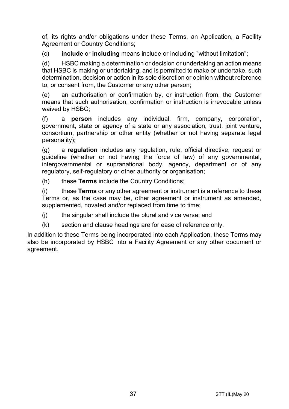of, its rights and/or obligations under these Terms, an Application, a Facility Agreement or Country Conditions;

(c) **include** or **including** means include or including "without limitation";

(d) HSBC making a determination or decision or undertaking an action means that HSBC is making or undertaking, and is permitted to make or undertake, such determination, decision or action in its sole discretion or opinion without reference to, or consent from, the Customer or any other person;

(e) an authorisation or confirmation by, or instruction from, the Customer means that such authorisation, confirmation or instruction is irrevocable unless waived by HSBC;

(f) a **person** includes any individual, firm, company, corporation, government, state or agency of a state or any association, trust, joint venture, consortium, partnership or other entity (whether or not having separate legal personality);

(g) a **regulation** includes any regulation, rule, official directive, request or guideline (whether or not having the force of law) of any governmental, intergovernmental or supranational body, agency, department or of any regulatory, self-regulatory or other authority or organisation;

(h) these **Terms** include the Country Conditions;

(i) these **Terms** or any other agreement or instrument is a reference to these Terms or, as the case may be, other agreement or instrument as amended, supplemented, novated and/or replaced from time to time;

(j) the singular shall include the plural and vice versa; and

(k) section and clause headings are for ease of reference only.

In addition to these Terms being incorporated into each Application, these Terms may also be incorporated by HSBC into a Facility Agreement or any other document or agreement.